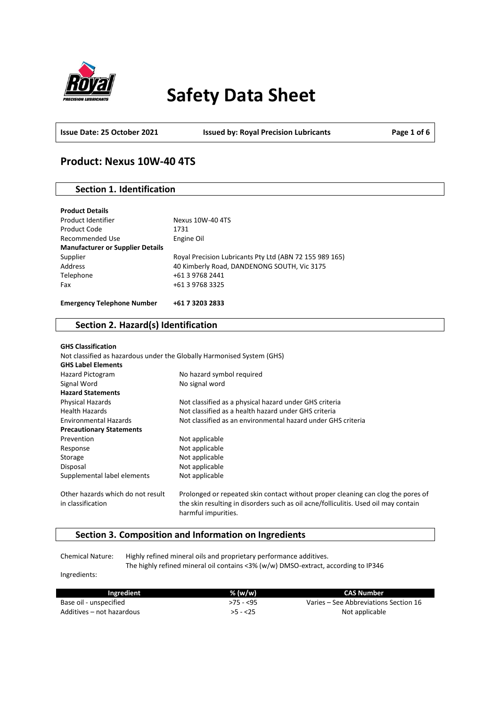

# **Safety Data Sheet**

**Issue Date: 25 October 2021 Issued by: Royal Precision Lubricants Page 1 of 6**

# **Product: Nexus 10W-40 4TS**

# **Section 1. Identification**

| <b>Product Details</b>                  |                                                         |
|-----------------------------------------|---------------------------------------------------------|
| Product Identifier                      | Nexus 10W-40 4TS                                        |
| Product Code                            | 1731                                                    |
| Recommended Use                         | Engine Oil                                              |
| <b>Manufacturer or Supplier Details</b> |                                                         |
| Supplier                                | Royal Precision Lubricants Pty Ltd (ABN 72 155 989 165) |
| Address                                 | 40 Kimberly Road, DANDENONG SOUTH, Vic 3175             |
| Telephone                               | +61 3 9768 2441                                         |
| Fax                                     | +61 3 9768 3325                                         |
|                                         |                                                         |
| <b>Emergency Telephone Number</b>       | +61 7 3203 2833                                         |

### **Section 2. Hazard(s) Identification**

| <b>GHS Classification</b>         |                                                                                                            |
|-----------------------------------|------------------------------------------------------------------------------------------------------------|
|                                   | Not classified as hazardous under the Globally Harmonised System (GHS)                                     |
| <b>GHS Label Elements</b>         |                                                                                                            |
| Hazard Pictogram                  | No hazard symbol required                                                                                  |
| Signal Word                       | No signal word                                                                                             |
| <b>Hazard Statements</b>          |                                                                                                            |
| Physical Hazards                  | Not classified as a physical hazard under GHS criteria                                                     |
| <b>Health Hazards</b>             | Not classified as a health hazard under GHS criteria                                                       |
| <b>Environmental Hazards</b>      | Not classified as an environmental hazard under GHS criteria                                               |
| <b>Precautionary Statements</b>   |                                                                                                            |
| Prevention                        | Not applicable                                                                                             |
| Response                          | Not applicable                                                                                             |
| Storage                           | Not applicable                                                                                             |
| Disposal                          | Not applicable                                                                                             |
| Supplemental label elements       | Not applicable                                                                                             |
| Other hazards which do not result | Prolonged or repeated skin contact without proper cleaning can clog the pores of                           |
| in classification                 | the skin resulting in disorders such as oil acne/folliculitis. Used oil may contain<br>harmful impurities. |

# **Section 3. Composition and Information on Ingredients**

Chemical Nature: Highly refined mineral oils and proprietary performance additives. The highly refined mineral oil contains <3% (w/w) DMSO-extract, according to IP346

Ingredients:

| Ingredient                | % (w/w)    | CAS Number                            |
|---------------------------|------------|---------------------------------------|
| Base oil - unspecified    | $>75 - 55$ | Varies – See Abbreviations Section 16 |
| Additives – not hazardous | $>5 - 25$  | Not applicable                        |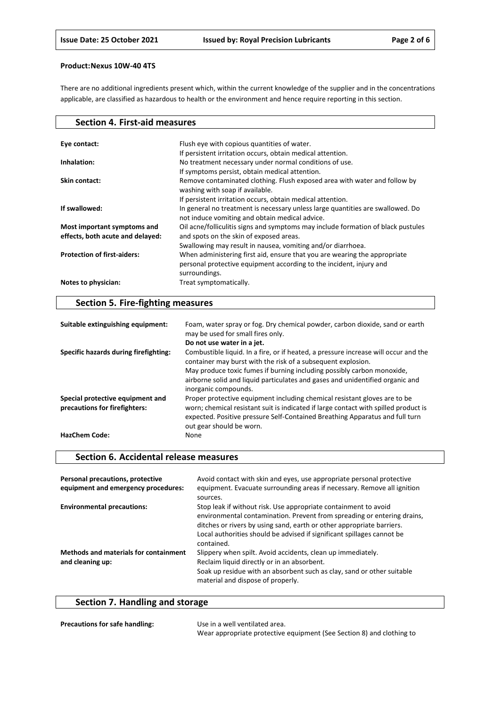There are no additional ingredients present which, within the current knowledge of the supplier and in the concentrations applicable, are classified as hazardous to health or the environment and hence require reporting in this section.

| <b>Section 4. First-aid measures</b> |                                                                                                                                                                   |
|--------------------------------------|-------------------------------------------------------------------------------------------------------------------------------------------------------------------|
|                                      |                                                                                                                                                                   |
| Eye contact:                         | Flush eye with copious quantities of water.                                                                                                                       |
|                                      | If persistent irritation occurs, obtain medical attention.                                                                                                        |
| Inhalation:                          | No treatment necessary under normal conditions of use.                                                                                                            |
|                                      | If symptoms persist, obtain medical attention.                                                                                                                    |
| Skin contact:                        | Remove contaminated clothing. Flush exposed area with water and follow by<br>washing with soap if available.                                                      |
|                                      | If persistent irritation occurs, obtain medical attention.                                                                                                        |
| If swallowed:                        | In general no treatment is necessary unless large quantities are swallowed. Do<br>not induce vomiting and obtain medical advice.                                  |
| Most important symptoms and          | Oil acne/folliculitis signs and symptoms may include formation of black pustules                                                                                  |
| effects, both acute and delayed:     | and spots on the skin of exposed areas.                                                                                                                           |
|                                      | Swallowing may result in nausea, vomiting and/or diarrhoea.                                                                                                       |
| <b>Protection of first-aiders:</b>   | When administering first aid, ensure that you are wearing the appropriate<br>personal protective equipment according to the incident, injury and<br>surroundings. |
| Notes to physician:                  | Treat symptomatically.                                                                                                                                            |

# **Section 5. Fire-fighting measures**

| Suitable extinguishing equipment:                                 | Foam, water spray or fog. Dry chemical powder, carbon dioxide, sand or earth<br>may be used for small fires only.                                                                                                                                                            |
|-------------------------------------------------------------------|------------------------------------------------------------------------------------------------------------------------------------------------------------------------------------------------------------------------------------------------------------------------------|
|                                                                   | Do not use water in a jet.                                                                                                                                                                                                                                                   |
| Specific hazards during firefighting:                             | Combustible liquid. In a fire, or if heated, a pressure increase will occur and the<br>container may burst with the risk of a subsequent explosion.                                                                                                                          |
|                                                                   | May produce toxic fumes if burning including possibly carbon monoxide,<br>airborne solid and liquid particulates and gases and unidentified organic and<br>inorganic compounds.                                                                                              |
| Special protective equipment and<br>precautions for firefighters: | Proper protective equipment including chemical resistant gloves are to be<br>worn; chemical resistant suit is indicated if large contact with spilled product is<br>expected. Positive pressure Self-Contained Breathing Apparatus and full turn<br>out gear should be worn. |
| <b>HazChem Code:</b>                                              | None                                                                                                                                                                                                                                                                         |

### **Section 6. Accidental release measures**

| Personal precautions, protective<br>equipment and emergency procedures: | Avoid contact with skin and eyes, use appropriate personal protective<br>equipment. Evacuate surrounding areas if necessary. Remove all ignition<br>sources.                                                                                                                                                |
|-------------------------------------------------------------------------|-------------------------------------------------------------------------------------------------------------------------------------------------------------------------------------------------------------------------------------------------------------------------------------------------------------|
| <b>Environmental precautions:</b>                                       | Stop leak if without risk. Use appropriate containment to avoid<br>environmental contamination. Prevent from spreading or entering drains,<br>ditches or rivers by using sand, earth or other appropriate barriers.<br>Local authorities should be advised if significant spillages cannot be<br>contained. |
| <b>Methods and materials for containment</b><br>and cleaning up:        | Slippery when spilt. Avoid accidents, clean up immediately.<br>Reclaim liquid directly or in an absorbent.<br>Soak up residue with an absorbent such as clay, sand or other suitable<br>material and dispose of properly.                                                                                   |

# **Section 7. Handling and storage**

| <b>Precautions for safe handling:</b> | Use in a well ventilated area.                                        |
|---------------------------------------|-----------------------------------------------------------------------|
|                                       | Wear appropriate protective equipment (See Section 8) and clothing to |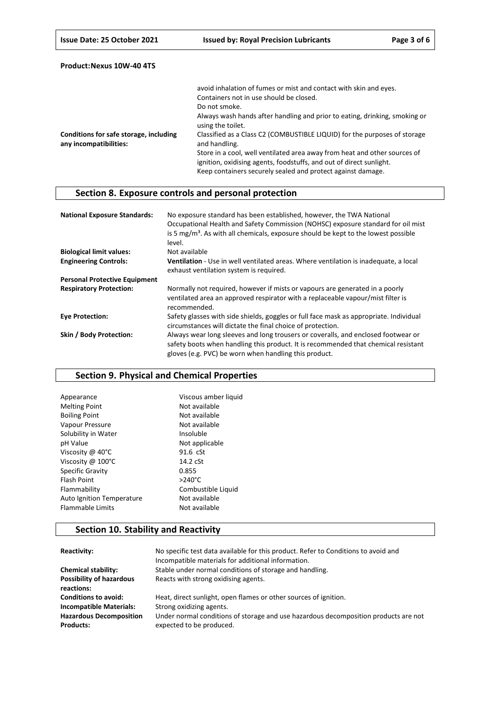|                                                                  | avoid inhalation of fumes or mist and contact with skin and eyes.                                                                                                                                               |
|------------------------------------------------------------------|-----------------------------------------------------------------------------------------------------------------------------------------------------------------------------------------------------------------|
|                                                                  | Containers not in use should be closed.                                                                                                                                                                         |
|                                                                  | Do not smoke.                                                                                                                                                                                                   |
|                                                                  | Always wash hands after handling and prior to eating, drinking, smoking or<br>using the toilet.                                                                                                                 |
| Conditions for safe storage, including<br>any incompatibilities: | Classified as a Class C2 (COMBUSTIBLE LIQUID) for the purposes of storage<br>and handling.                                                                                                                      |
|                                                                  | Store in a cool, well ventilated area away from heat and other sources of<br>ignition, oxidising agents, foodstuffs, and out of direct sunlight.<br>Keep containers securely sealed and protect against damage. |

# **Section 8. Exposure controls and personal protection**

| <b>National Exposure Standards:</b>  | No exposure standard has been established, however, the TWA National<br>Occupational Health and Safety Commission (NOHSC) exposure standard for oil mist<br>is 5 mg/m <sup>3</sup> . As with all chemicals, exposure should be kept to the lowest possible<br>level. |
|--------------------------------------|----------------------------------------------------------------------------------------------------------------------------------------------------------------------------------------------------------------------------------------------------------------------|
| <b>Biological limit values:</b>      | Not available                                                                                                                                                                                                                                                        |
| <b>Engineering Controls:</b>         | Ventilation - Use in well ventilated areas. Where ventilation is inadequate, a local<br>exhaust ventilation system is required.                                                                                                                                      |
| <b>Personal Protective Equipment</b> |                                                                                                                                                                                                                                                                      |
| <b>Respiratory Protection:</b>       | Normally not required, however if mists or vapours are generated in a poorly<br>ventilated area an approved respirator with a replaceable vapour/mist filter is<br>recommended.                                                                                      |
| <b>Eye Protection:</b>               | Safety glasses with side shields, goggles or full face mask as appropriate. Individual<br>circumstances will dictate the final choice of protection.                                                                                                                 |
| Skin / Body Protection:              | Always wear long sleeves and long trousers or coveralls, and enclosed footwear or<br>safety boots when handling this product. It is recommended that chemical resistant<br>gloves (e.g. PVC) be worn when handling this product.                                     |

## **Section 9. Physical and Chemical Properties**

| Viscous amber liquid |
|----------------------|
| Not available        |
| Not available        |
| Not available        |
| Insoluble            |
| Not applicable       |
| 91.6 cSt             |
| 14.2 cSt             |
| 0.855                |
| $>240^{\circ}$ C     |
| Combustible Liquid   |
| Not available        |
| Not available        |
|                      |

# **Section 10. Stability and Reactivity**

| Reactivity:                                        | No specific test data available for this product. Refer to Conditions to avoid and<br>Incompatible materials for additional information. |
|----------------------------------------------------|------------------------------------------------------------------------------------------------------------------------------------------|
| <b>Chemical stability:</b>                         | Stable under normal conditions of storage and handling.                                                                                  |
| <b>Possibility of hazardous</b><br>reactions:      | Reacts with strong oxidising agents.                                                                                                     |
| <b>Conditions to avoid:</b>                        | Heat, direct sunlight, open flames or other sources of ignition.                                                                         |
| <b>Incompatible Materials:</b>                     | Strong oxidizing agents.                                                                                                                 |
| <b>Hazardous Decomposition</b><br><b>Products:</b> | Under normal conditions of storage and use hazardous decomposition products are not<br>expected to be produced.                          |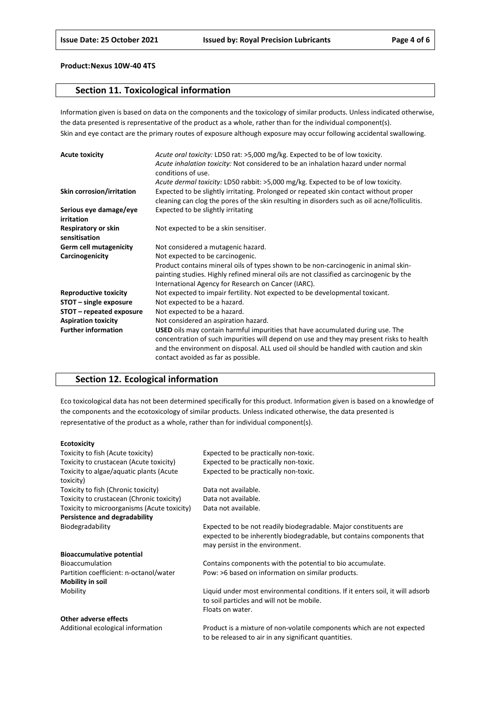### **Section 11. Toxicological information**

Information given is based on data on the components and the toxicology of similar products. Unless indicated otherwise, the data presented is representative of the product as a whole, rather than for the individual component(s). Skin and eye contact are the primary routes of exposure although exposure may occur following accidental swallowing.

| <b>Acute toxicity</b>                | Acute oral toxicity: LD50 rat: >5,000 mg/kg. Expected to be of low toxicity.<br>Acute inhalation toxicity: Not considered to be an inhalation hazard under normal<br>conditions of use.                                                                                                                           |
|--------------------------------------|-------------------------------------------------------------------------------------------------------------------------------------------------------------------------------------------------------------------------------------------------------------------------------------------------------------------|
|                                      | Acute dermal toxicity: LD50 rabbit: >5,000 mg/kg. Expected to be of low toxicity.                                                                                                                                                                                                                                 |
| Skin corrosion/irritation            | Expected to be slightly irritating. Prolonged or repeated skin contact without proper<br>cleaning can clog the pores of the skin resulting in disorders such as oil acne/folliculitis.                                                                                                                            |
| Serious eye damage/eye<br>irritation | Expected to be slightly irritating                                                                                                                                                                                                                                                                                |
| Respiratory or skin<br>sensitisation | Not expected to be a skin sensitiser.                                                                                                                                                                                                                                                                             |
| <b>Germ cell mutagenicity</b>        | Not considered a mutagenic hazard.                                                                                                                                                                                                                                                                                |
| Carcinogenicity                      | Not expected to be carcinogenic.                                                                                                                                                                                                                                                                                  |
|                                      | Product contains mineral oils of types shown to be non-carcinogenic in animal skin-<br>painting studies. Highly refined mineral oils are not classified as carcinogenic by the<br>International Agency for Research on Cancer (IARC).                                                                             |
| <b>Reproductive toxicity</b>         | Not expected to impair fertility. Not expected to be developmental toxicant.                                                                                                                                                                                                                                      |
| STOT - single exposure               | Not expected to be a hazard.                                                                                                                                                                                                                                                                                      |
| STOT – repeated exposure             | Not expected to be a hazard.                                                                                                                                                                                                                                                                                      |
| <b>Aspiration toxicity</b>           | Not considered an aspiration hazard.                                                                                                                                                                                                                                                                              |
| <b>Further information</b>           | <b>USED</b> oils may contain harmful impurities that have accumulated during use. The<br>concentration of such impurities will depend on use and they may present risks to health<br>and the environment on disposal. ALL used oil should be handled with caution and skin<br>contact avoided as far as possible. |

## **Section 12. Ecological information**

Eco toxicological data has not been determined specifically for this product. Information given is based on a knowledge of the components and the ecotoxicology of similar products. Unless indicated otherwise, the data presented is representative of the product as a whole, rather than for individual component(s).

#### **Ecotoxicity**

| Toxicity to fish (Acute toxicity)                    | Expected to be practically non-toxic.                                                                                                                                        |
|------------------------------------------------------|------------------------------------------------------------------------------------------------------------------------------------------------------------------------------|
| Toxicity to crustacean (Acute toxicity)              | Expected to be practically non-toxic.                                                                                                                                        |
| Toxicity to algae/aquatic plants (Acute<br>toxicity) | Expected to be practically non-toxic.                                                                                                                                        |
| Toxicity to fish (Chronic toxicity)                  | Data not available.                                                                                                                                                          |
| Toxicity to crustacean (Chronic toxicity)            | Data not available.                                                                                                                                                          |
| Toxicity to microorganisms (Acute toxicity)          | Data not available.                                                                                                                                                          |
| Persistence and degradability                        |                                                                                                                                                                              |
| Biodegradability                                     | Expected to be not readily biodegradable. Major constituents are<br>expected to be inherently biodegradable, but contains components that<br>may persist in the environment. |
| <b>Bioaccumulative potential</b>                     |                                                                                                                                                                              |
| <b>Bioaccumulation</b>                               | Contains components with the potential to bio accumulate.                                                                                                                    |
| Partition coefficient: n-octanol/water               | Pow: >6 based on information on similar products.                                                                                                                            |
| Mobility in soil                                     |                                                                                                                                                                              |
| Mobility                                             | Liquid under most environmental conditions. If it enters soil, it will adsorb                                                                                                |
|                                                      | to soil particles and will not be mobile.                                                                                                                                    |
|                                                      | Floats on water.                                                                                                                                                             |
| Other adverse effects                                |                                                                                                                                                                              |
| Additional ecological information                    | <b>Droduct is a mixture of non-volatile components which are not expected</b>                                                                                                |

Additional ecological information Product is a mixture of non-volatile components which are not expected to be released to air in any significant quantities.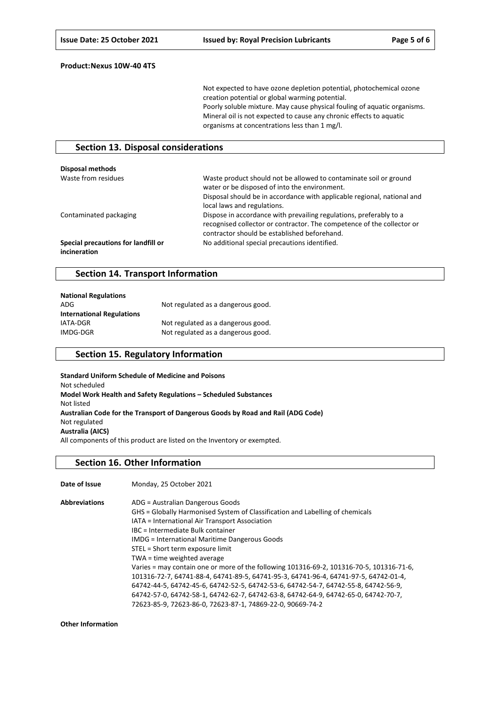Not expected to have ozone depletion potential, photochemical ozone creation potential or global warming potential. Poorly soluble mixture. May cause physical fouling of aquatic organisms. Mineral oil is not expected to cause any chronic effects to aquatic organisms at concentrations less than 1 mg/l.

### **Section 13. Disposal considerations**

| Disposal methods                                    |                                                                                                                                                                                                                              |
|-----------------------------------------------------|------------------------------------------------------------------------------------------------------------------------------------------------------------------------------------------------------------------------------|
| Waste from residues                                 | Waste product should not be allowed to contaminate soil or ground<br>water or be disposed of into the environment.<br>Disposal should be in accordance with applicable regional, national and<br>local laws and regulations. |
| Contaminated packaging                              | Dispose in accordance with prevailing regulations, preferably to a<br>recognised collector or contractor. The competence of the collector or<br>contractor should be established beforehand.                                 |
| Special precautions for landfill or<br>incineration | No additional special precautions identified.                                                                                                                                                                                |

### **Section 14. Transport Information**

| <b>National Regulations</b>      |                                    |
|----------------------------------|------------------------------------|
| ADG                              | Not regulated as a dangerous good. |
| <b>International Regulations</b> |                                    |
| IATA-DGR                         | Not regulated as a dangerous good. |
| IMDG-DGR                         | Not regulated as a dangerous good. |

### **Section 15. Regulatory Information**

**Standard Uniform Schedule of Medicine and Poisons** Not scheduled **Model Work Health and Safety Regulations – Scheduled Substances** Not listed **Australian Code for the Transport of Dangerous Goods by Road and Rail (ADG Code)** Not regulated **Australia (AICS)** All components of this product are listed on the Inventory or exempted.

#### **Section 16. Other Information**

| Date of Issue        | Monday, 25 October 2021                                                                  |
|----------------------|------------------------------------------------------------------------------------------|
| <b>Abbreviations</b> | ADG = Australian Dangerous Goods                                                         |
|                      | GHS = Globally Harmonised System of Classification and Labelling of chemicals            |
|                      | IATA = International Air Transport Association                                           |
|                      | IBC = Intermediate Bulk container                                                        |
|                      | <b>IMDG</b> = International Maritime Dangerous Goods                                     |
|                      | STEL = Short term exposure limit                                                         |
|                      | TWA = time weighted average                                                              |
|                      | Varies = may contain one or more of the following 101316-69-2, 101316-70-5, 101316-71-6, |
|                      | 101316-72-7, 64741-88-4, 64741-89-5, 64741-95-3, 64741-96-4, 64741-97-5, 64742-01-4,     |
|                      | 64742-44-5, 64742-45-6, 64742-52-5, 64742-53-6, 64742-54-7, 64742-55-8, 64742-56-9,      |
|                      | 64742-57-0, 64742-58-1, 64742-62-7, 64742-63-8, 64742-64-9, 64742-65-0, 64742-70-7,      |
|                      | 72623-85-9, 72623-86-0, 72623-87-1, 74869-22-0, 90669-74-2                               |

**Other Information**